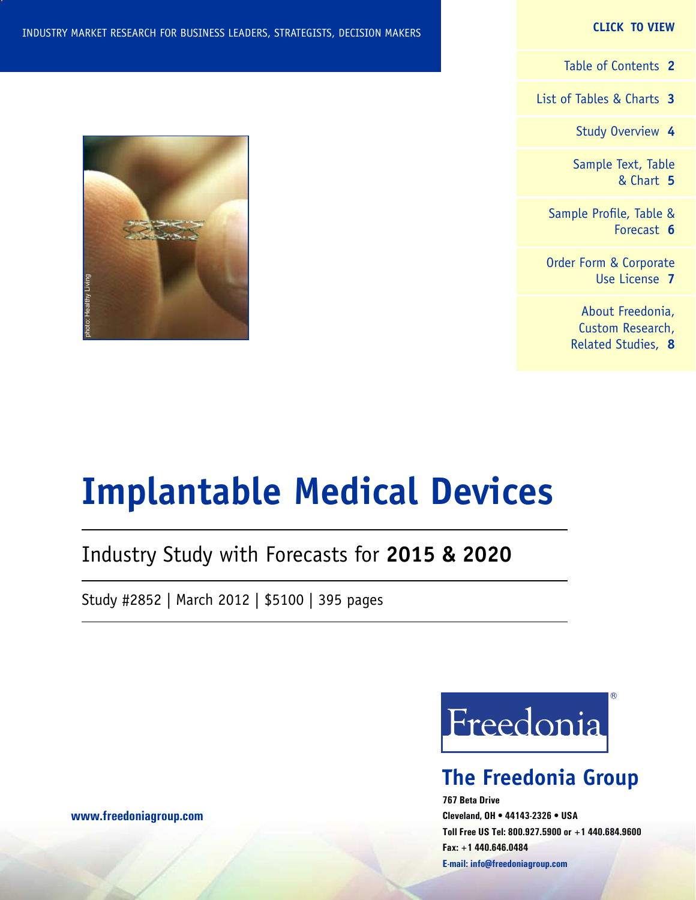#### **CLICK TO VIEW**

[Table of Contents](#page-1-0) **2**

[List of Tables & Charts](#page-2-0) **3**

[Study Overview](#page-3-0) **4**

[Sample Text, Table](#page-4-0) [& Chart](#page-4-0) **5**

[Sample Profile, Table &](#page-5-0) [Forecast](#page-5-0) **6**

[Order Form & Corporate](#page-6-0) [Use License](#page-6-0) **7**

> [About Freedonia,](#page-7-0) [Custom Research,](#page-7-0) [Related Studies,](#page-7-0) **8**



# **Implantable Medical Devices**

# Industry Study with Forecasts for **2015 & 2020**

Study #2852 | March 2012 | \$5100 | 395 pages



# **The Freedonia Group**

**767 Beta Drive Cleveland, OH • 44143-2326 • USA Toll Free US Tel: 800.927.5900 or +1 440.684.9600 Fax: +1 440.646.0484 E-mail: [info@freedoniagroup.com](mailto:info@freedoniagroup.com)**

**[www.freedoniagroup.com](http://www.freedoniagroup.com/Home.aspx?ReferrerId=FM-Bro)**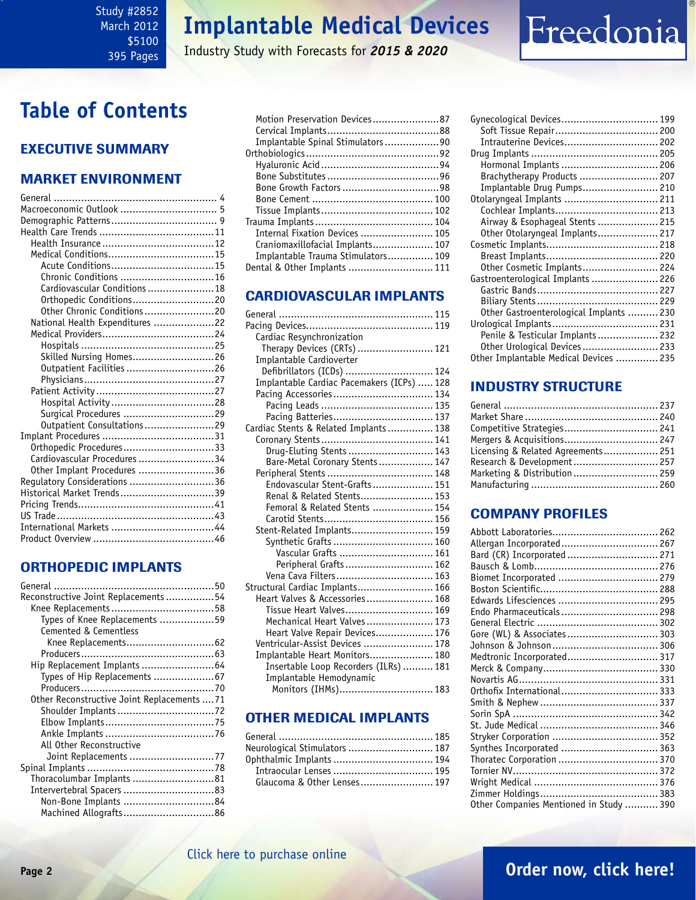#### <span id="page-1-0"></span>Study #2852 March 2012 \$5100 395 Pages

# **Implantable Medical Devices**

Industry Study with Forecasts for *2015 & 2020*

# **Table of Contents**

### Executive Summary

### Market EnvironmenT

| Chronic Conditions  16          |  |
|---------------------------------|--|
| Cardiovascular Conditions  18   |  |
| Orthopedic Conditions20         |  |
| Other Chronic Conditions20      |  |
| National Health Expenditures 22 |  |
|                                 |  |
|                                 |  |
| Skilled Nursing Homes26         |  |
| Outpatient Facilities 26        |  |
|                                 |  |
|                                 |  |
|                                 |  |
| Surgical Procedures 29          |  |
| Outpatient Consultations29      |  |
|                                 |  |
| Orthopedic Procedures33         |  |
| Cardiovascular Procedures 34    |  |
| Other Implant Procedures 36     |  |
| Regulatory Considerations 36    |  |
| Historical Market Trends 39     |  |
|                                 |  |
|                                 |  |
|                                 |  |
|                                 |  |

### ORTHOPEDIC IMPLANTS

| Reconstructive Joint Replacements 54        |  |
|---------------------------------------------|--|
|                                             |  |
| Types of Knee Replacements 59               |  |
| Cemented & Cementless                       |  |
| Knee Replacements62                         |  |
|                                             |  |
| Hip Replacement Implants  64                |  |
|                                             |  |
|                                             |  |
| Other Reconstructive Joint Replacements  71 |  |
|                                             |  |
|                                             |  |
|                                             |  |
| All Other Reconstructive                    |  |
| Joint Replacements 77                       |  |
|                                             |  |
| Thoracolumbar Implants 81                   |  |
|                                             |  |
| Non-Bone Implants 84                        |  |
| Machined Allografts86                       |  |

| Motion Preservation Devices87      |  |
|------------------------------------|--|
|                                    |  |
| Implantable Spinal Stimulators90   |  |
|                                    |  |
|                                    |  |
|                                    |  |
| Bone Growth Factors 98             |  |
|                                    |  |
|                                    |  |
|                                    |  |
| Internal Fixation Devices  105     |  |
| Craniomaxillofacial Implants 107   |  |
| Implantable Trauma Stimulators 109 |  |
| Dental & Other Implants  111       |  |
|                                    |  |

### CARDIOVASCULAR IMPLANTS

| Cardiac Resynchronization                  |  |
|--------------------------------------------|--|
| Therapy Devices (CRTs)  121                |  |
| Implantable Cardioverter                   |  |
| Defibrillators (ICDs)  124                 |  |
| Implantable Cardiac Pacemakers (ICPs)  128 |  |
| Pacing Accessories 134                     |  |
|                                            |  |
| Pacing Batteries 137                       |  |
| Cardiac Stents & Related Implants 138      |  |
|                                            |  |
| Drug-Eluting Stents  143                   |  |
| Bare-Metal Coronary Stents 147             |  |
|                                            |  |
| Endovascular Stent-Grafts 151              |  |
| Renal & Related Stents 153                 |  |
| Femoral & Related Stents  154              |  |
|                                            |  |
| Stent-Related Implants 159                 |  |
| Synthetic Grafts  160                      |  |
| Vascular Grafts  161                       |  |
| Peripheral Grafts 162                      |  |
| Vena Cava Filters 163                      |  |
| Structural Cardiac Implants 166            |  |
| Heart Valves & Accessories 168             |  |
| Tissue Heart Valves 169                    |  |
| Mechanical Heart Valves  173               |  |
| Heart Valve Repair Devices 176             |  |
| Ventricular-Assist Devices  178            |  |
| Implantable Heart Monitors 180             |  |
| Insertable Loop Recorders (ILRs)  181      |  |
| Implantable Hemodynamic                    |  |
| Monitors (IHMs) 183                        |  |
|                                            |  |

#### OTHER MEDICAL IMPLANTS

| Neurological Stimulators  187 |
|-------------------------------|
| Ophthalmic Implants  194      |
|                               |
| Glaucoma & Other Lenses 197   |
|                               |

| Gynecological Devices 199               |  |
|-----------------------------------------|--|
| Soft Tissue Repair 200                  |  |
| Intrauterine Devices 202                |  |
|                                         |  |
| Hormonal Implants  206                  |  |
| Brachytherapy Products  207             |  |
| Implantable Drug Pumps 210              |  |
| Otolaryngeal Implants  211              |  |
|                                         |  |
| Airway & Esophageal Stents  215         |  |
| Other Otolaryngeal Implants 217         |  |
|                                         |  |
|                                         |  |
| Other Cosmetic Implants 224             |  |
| Gastroenterological Implants  226       |  |
|                                         |  |
|                                         |  |
| Other Gastroenterological Implants  230 |  |
|                                         |  |
| Penile & Testicular Implants 232        |  |
| Other Urological Devices 233            |  |
| Other Implantable Medical Devices  235  |  |

Freedonia

### INDUSTRY STRUCTURE

| Competitive Strategies 241         |  |
|------------------------------------|--|
| Mergers & Acquisitions 247         |  |
| Licensing & Related Agreements 251 |  |
| Research & Development 257         |  |
| Marketing & Distribution  259      |  |
|                                    |  |

### Company Profiles

| Allergan Incorporated 267               |  |
|-----------------------------------------|--|
| Bard (CR) Incorporated  271             |  |
|                                         |  |
| Biomet Incorporated  279                |  |
|                                         |  |
| Edwards Lifesciences  295               |  |
| Endo Pharmaceuticals  298               |  |
|                                         |  |
| Gore (WL) & Associates 303              |  |
|                                         |  |
| Medtronic Incorporated 317              |  |
|                                         |  |
|                                         |  |
| Orthofix International 333              |  |
|                                         |  |
|                                         |  |
|                                         |  |
|                                         |  |
| Synthes Incorporated  363               |  |
| Thoratec Corporation  370               |  |
|                                         |  |
|                                         |  |
|                                         |  |
| Other Companies Mentioned in Study  390 |  |
|                                         |  |

## **Page 2 [Order now, click here!](#page-6-0)**

### [Click here to purchase online](http://www.freedoniagroup.com/DocumentDetails.aspx?Referrerid=FM-Bro&StudyID=2852)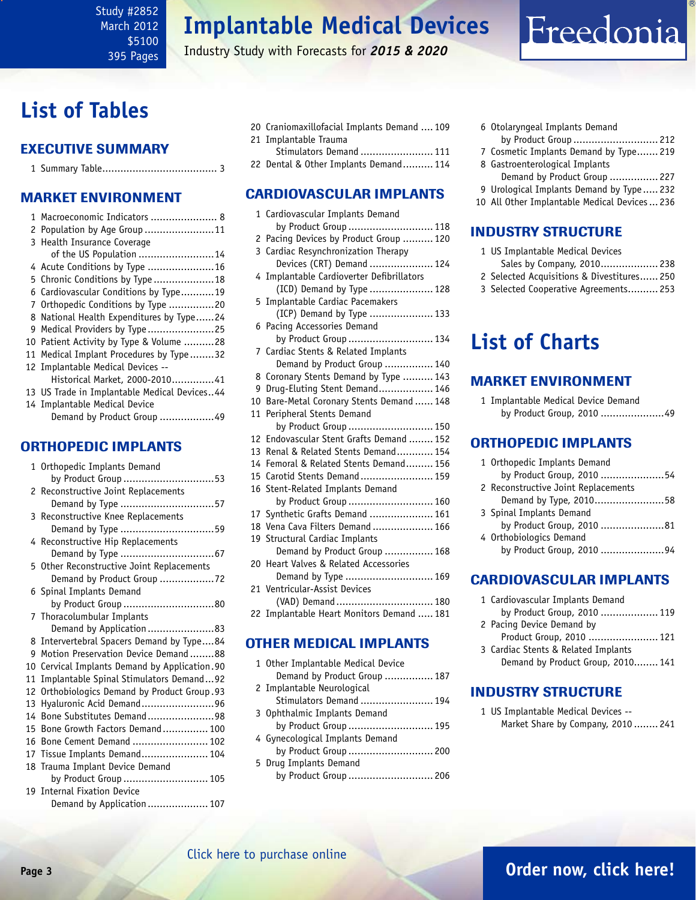Industry Study with Forecasts for *2015 & 2020*

# <span id="page-2-0"></span>**List of Tables**

### Executive Summary

|--|--|--|--|

### Market EnvironmenT

|   | 1 Macroeconomic Indicators  8                |
|---|----------------------------------------------|
|   | 2 Population by Age Group11                  |
|   | 3 Health Insurance Coverage                  |
|   | of the US Population 14                      |
|   | 4 Acute Conditions by Type 16                |
|   | 5 Chronic Conditions by Type 18              |
|   | 6 Cardiovascular Conditions by Type19        |
|   | 7 Orthopedic Conditions by Type 20           |
|   | 8 National Health Expenditures by Type24     |
| 9 | Medical Providers by Type25                  |
|   | 10 Patient Activity by Type & Volume 28      |
|   | 11 Medical Implant Procedures by Type32      |
|   | 12 Implantable Medical Devices --            |
|   | Historical Market, 2000-201041               |
|   | 13 US Trade in Implantable Medical Devices44 |
|   | 14 Implantable Medical Device                |
|   | Demand by Product Group 49                   |

#### ORTHOPEDIC IMPLANTS

|    | 1 Orthopedic Implants Demand               |
|----|--------------------------------------------|
|    | by Product Group 53                        |
|    | 2 Reconstructive Joint Replacements        |
|    |                                            |
|    | 3 Reconstructive Knee Replacements         |
|    | Demand by Type 59                          |
|    | 4 Reconstructive Hip Replacements          |
|    |                                            |
|    | 5 Other Reconstructive Joint Replacements  |
|    | Demand by Product Group 72                 |
|    | 6 Spinal Implants Demand                   |
|    | by Product Group 80                        |
|    | 7 Thoracolumbular Implants                 |
|    | Demand by Application 83                   |
|    | 8 Intervertebral Spacers Demand by Type84  |
| g  | Motion Preservation Device Demand88        |
| 10 | Cervical Implants Demand by Application.90 |
| 11 | Implantable Spinal Stimulators Demand92    |
| 12 | Orthobiologics Demand by Product Group.93  |
| 13 | Hyaluronic Acid Demand96                   |
| 14 | Bone Substitutes Demand98                  |
| 15 | Bone Growth Factors Demand 100             |
| 16 | Bone Cement Demand  102                    |
| 17 | Tissue Implants Demand 104                 |
|    | 18 Trauma Implant Device Demand            |
|    | by Product Group  105                      |
|    | 19 Internal Fixation Device                |
|    | Demand by Application  107                 |

|  | 20 Craniomaxillofacial Implants Demand  109 |
|--|---------------------------------------------|
|  | 21 Implantable Trauma                       |
|  | Stimulators Demand  111                     |
|  |                                             |

22 Dental & Other Implants Demand.......... 114

#### CARDIOVASCULAR IMPLANTS

|    | 1 Cardiovascular Implants Demand          |
|----|-------------------------------------------|
|    | by Product Group  118                     |
|    | 2 Pacing Devices by Product Group  120    |
|    | 3 Cardiac Resynchronization Therapy       |
|    | Devices (CRT) Demand  124                 |
|    | 4 Implantable Cardioverter Defibrillators |
|    | (ICD) Demand by Type  128                 |
| 5  | Implantable Cardiac Pacemakers            |
|    | (ICP) Demand by Type  133                 |
| 6  | Pacing Accessories Demand                 |
|    | by Product Group  134                     |
|    | 7 Cardiac Stents & Related Implants       |
|    | Demand by Product Group  140              |
|    | 8 Coronary Stents Demand by Type  143     |
| 9  | Drug-Eluting Stent Demand 146             |
|    | 10 Bare-Metal Coronary Stents Demand  148 |
| 11 | Peripheral Stents Demand                  |
|    | by Product Group  150                     |
| 12 | Endovascular Stent Grafts Demand  152     |
| 13 | Renal & Related Stents Demand 154         |
| 14 | Femoral & Related Stents Demand 156       |
|    | 15 Carotid Stents Demand 159              |
|    | 16 Stent-Related Implants Demand          |
|    | by Product Group  160                     |
|    | 17 Synthetic Grafts Demand  161           |
|    | 18 Vena Cava Filters Demand  166          |
|    | 19 Structural Cardiac Implants            |
|    | Demand by Product Group  168              |
|    | 20 Heart Valves & Related Accessories     |
|    | Demand by Type  169                       |
|    | 21 Ventricular-Assist Devices             |
|    | (VAD) Demand  180                         |
|    | 22 Implantable Heart Monitors Demand  181 |
|    |                                           |
|    |                                           |

### OTHER MEDICAL IMPLANTS

| 1 Other Implantable Medical Device |  |
|------------------------------------|--|
| Demand by Product Group  187       |  |
| 2 Implantable Neurological         |  |
| Stimulators Demand  194            |  |
| 3 Ophthalmic Implants Demand       |  |
| by Product Group  195              |  |
| 4 Gynecological Implants Demand    |  |
| by Product Group  200              |  |
| 5 Drug Implants Demand             |  |
| by Product Group  206              |  |
|                                    |  |

6 Otolaryngeal Implants Demand by Product Group ............................ 212

Freedonia

- 7 Cosmetic Implants Demand by Type....... 219 8 Gastroenterological Implants
- Demand by Product Group ................ 227
- 9 Urological Implants Demand by Type ..... 232
- 10 All Other Implantable Medical Devices... 236

### INDUSTRY STRUCTURE

- 1 US Implantable Medical Devices
- Sales by Company, 2010................... 238
- 2 Selected Acquisitions & Divestitures...... 250 3 Selected Cooperative Agreements.......... 253
- 

## **List of Charts**

#### MARKET ENVIRONMENT

1 Implantable Medical Device Demand by Product Group, 2010 .....................49

#### ORTHOPEDIC IMPLANTS

| 1 Orthopedic Implants Demand        |  |
|-------------------------------------|--|
| by Product Group, 2010 54           |  |
| 2 Reconstructive Joint Replacements |  |
| Demand by Type, 201058              |  |
| 3 Spinal Implants Demand            |  |
| by Product Group, 2010 81           |  |
| 4 Orthobiologics Demand             |  |
| by Product Group, 2010 94           |  |
|                                     |  |

### CARDIOVASCULAR IMPLANTS

1 Cardiovascular Implants Demand by Product Group, 2010 ................... 119 2 Pacing Device Demand by Product Group, 2010 ....................... 121 3 Cardiac Stents & Related Implants Demand by Product Group, 2010........ 141

#### INDUSTRY STRUCTURE

1 US Implantable Medical Devices -- Market Share by Company, 2010 ........ 241

### **Page 3 [Order now, click here!](#page-6-0)**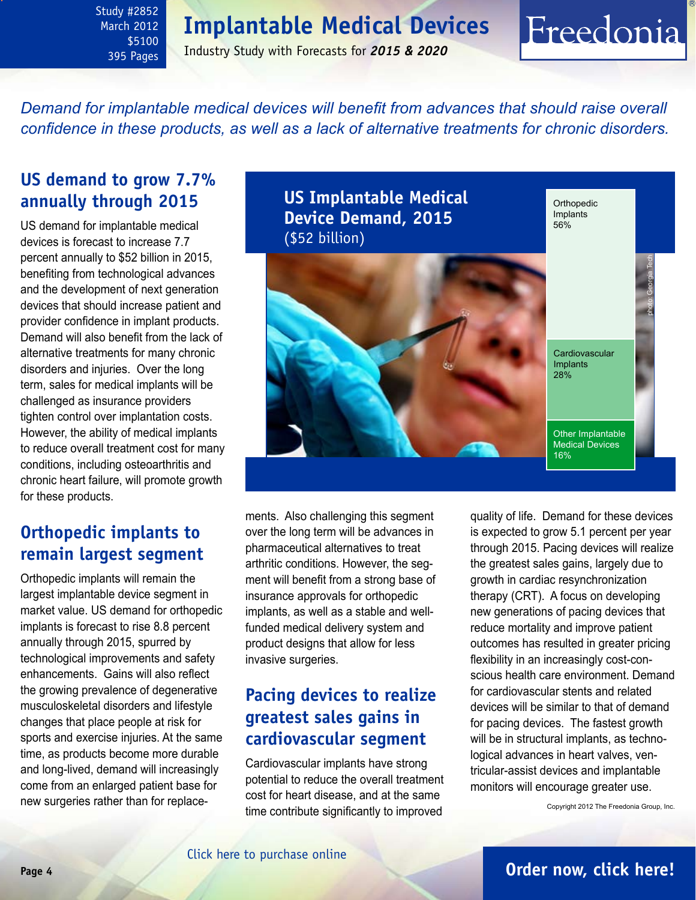<span id="page-3-0"></span>Study #2852 March 2012 \$5100 395 Pages

Industry Study with Forecasts for *2015 & 2020*

*Demand for implantable medical devices will benefit from advances that should raise overall confidence in these products, as well as a lack of alternative treatments for chronic disorders.*

### **US demand to grow 7.7% annually through 2015**

US demand for implantable medical devices is forecast to increase 7.7 percent annually to \$52 billion in 2015, benefiting from technological advances and the development of next generation devices that should increase patient and provider confidence in implant products. Demand will also benefit from the lack of alternative treatments for many chronic disorders and injuries. Over the long term, sales for medical implants will be challenged as insurance providers tighten control over implantation costs. However, the ability of medical implants to reduce overall treatment cost for many conditions, including osteoarthritis and chronic heart failure, will promote growth for these products.

### **Orthopedic implants to remain largest segment**

Orthopedic implants will remain the largest implantable device segment in market value. US demand for orthopedic implants is forecast to rise 8.8 percent annually through 2015, spurred by technological improvements and safety enhancements. Gains will also reflect the growing prevalence of degenerative musculoskeletal disorders and lifestyle changes that place people at risk for sports and exercise injuries. At the same time, as products become more durable and long-lived, demand will increasingly come from an enlarged patient base for new surgeries rather than for replace-



ments. Also challenging this segment over the long term will be advances in pharmaceutical alternatives to treat arthritic conditions. However, the segment will benefit from a strong base of insurance approvals for orthopedic implants, as well as a stable and wellfunded medical delivery system and product designs that allow for less invasive surgeries.

### **Pacing devices to realize greatest sales gains in cardiovascular segment**

Cardiovascular implants have strong potential to reduce the overall treatment cost for heart disease, and at the same time contribute significantly to improved

quality of life. Demand for these devices is expected to grow 5.1 percent per year through 2015. Pacing devices will realize the greatest sales gains, largely due to growth in cardiac resynchronization therapy (CRT). A focus on developing new generations of pacing devices that reduce mortality and improve patient outcomes has resulted in greater pricing flexibility in an increasingly cost-conscious health care environment. Demand for cardiovascular stents and related devices will be similar to that of demand for pacing devices. The fastest growth will be in structural implants, as technological advances in heart valves, ventricular-assist devices and implantable monitors will encourage greater use.

Freedonia

Copyright 2012 The Freedonia Group, Inc.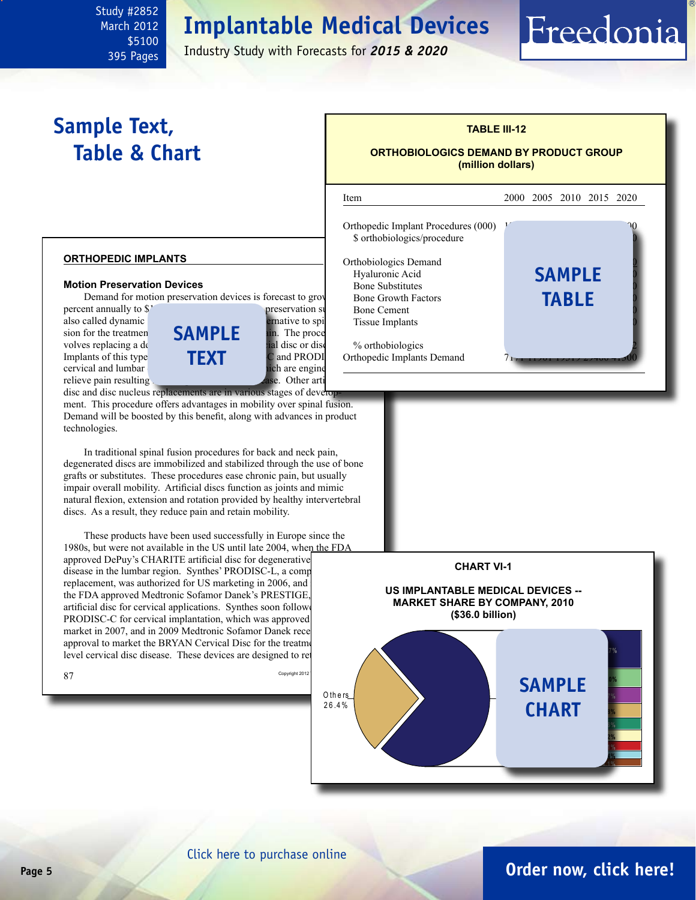l

\$5100 395 Pages

Industry Study with Forecasts for *2015 & 2020*

# **Sample Text, Table & Chart**

<span id="page-4-0"></span>Study #2852 March 2012

### **TABLE III-12 ORTHOBIOLOGICS DEMAND BY PRODUCT GROUP**

**(million dollars)**

### Item 2000 2005 2010 2015 2020

Freedonia

Orthopedic Implant Procedures (000) \$ orthobiologics/procedure

Orthobiologics Demand Hyaluronic Acid **SAMPLE** Bone Substitutes Bone Growth Factors Bone Cement Tissue Implants

% orthobiologics Orthopedic Implants Demand **table**

#### **orthopedic implants**

#### **Motion Preservation Devices**

Demand for motion preservation devices is forecast to grov

Implants of this type



disc and disc nucleus replacements are in various stages of development. This procedure offers advantages in mobility over spinal fusion. Demand will be boosted by this benefit, along with advances in product technologies.

In traditional spinal fusion procedures for back and neck pain, degenerated discs are immobilized and stabilized through the use of bone grafts or substitutes. These procedures ease chronic pain, but usually impair overall mobility. Artificial discs function as joints and mimic natural flexion, extension and rotation provided by healthy intervertebral discs. As a result, they reduce pain and retain mobility.

These products have been used successfully in Europe since the 1980s, but were not available in the US until late 2004, when the FDA approved DePuy's CHARITE artificial disc for degenerative disease in the lumbar region. Synthes' PRODISC-L, a comp replacement, was authorized for US marketing in 2006, and the FDA approved Medtronic Sofamor Danek's PRESTIGE, artificial disc for cervical applications. Synthes soon followe PRODISC-C for cervical implantation, which was approved market in 2007, and in 2009 Medtronic Sofamor Danek rece approval to market the BRYAN Cervical Disc for the treatment level cervical disc disease. These devices are designed to ret



#### **US IMPLANTABLE MEDICAL DEVICES -- MARKET SHARE BY COMPANY, 2010 (\$36.0 billion)**



### **Page 5 [Order now, click here!](#page-6-0)**

#### [Click here to purchase online](http://www.freedoniagroup.com/DocumentDetails.aspx?Referrerid=FM-Bro&StudyID=2852)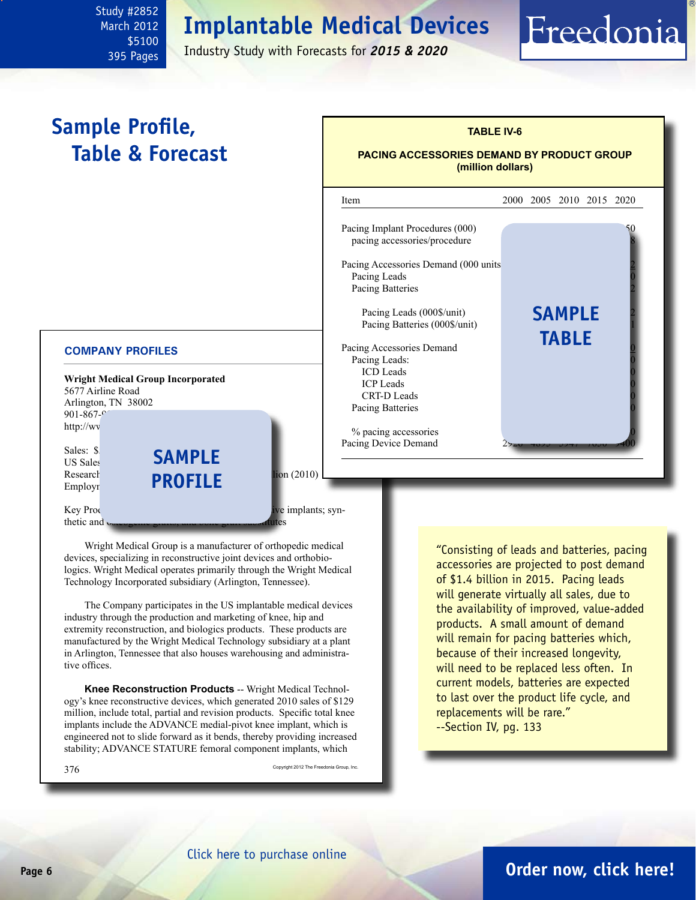March 2012 \$5100 395 Pages

<span id="page-5-0"></span>Study #2852

Industry Study with Forecasts for *2015 & 2020*

#### **Wright Medical Group Incorporated** 5677 Airline Road Arlington, TN 38002  $901 - 867$ http://wv Sales: \$1 US Sales Research **PROFILE** lion (2010) Employr Key Products: knee, hip and extremity reconstructive implants; synthetic and  $\mathbf{u}$ Wright Medical Group is a manufacturer of orthopedic medical devices, specializing in reconstructive joint devices and orthobio-**COMPANY PROFILES Sample Profile, Table & Forecast** "Consisting of leads and batteries, pacing accessories are projected to post demand **sample TABLE IV-6 PACING ACCESSORIES DEMAND BY PRODUCT GROUP (million dollars)** l Item 2000 2005 2010 2015 2020 Pacing Implant Procedures (000) pacing accessories/procedure Pacing Accessories Demand (000 units) 981 1127 1261 1268 1682 1681 1682 1681 1682 1681 1682 1684 168 Pacing Leads Pacing Batteries Pacing Leads (000\$/unit). Pacing Batteries (000\$/unit) Pacing Accessories Demand Pacing Leads: ICD Leads **ICP Leads** CRT-D Leads Pacing Batteries % pacing accessories Pacing Device Demand **sample table**

logics. Wright Medical operates primarily through the Wright Medical Technology Incorporated subsidiary (Arlington, Tennessee). The Company participates in the US implantable medical devices

industry through the production and marketing of knee, hip and extremity reconstruction, and biologics products. These products are manufactured by the Wright Medical Technology subsidiary at a plant in Arlington, Tennessee that also houses warehousing and administrative offices.

**Knee Reconstruction Products** -- Wright Medical Technology's knee reconstructive devices, which generated 2010 sales of \$129 million, include total, partial and revision products. Specific total knee implants include the ADVANCE medial-pivot knee implant, which is engineered not to slide forward as it bends, thereby providing increased stability; ADVANCE STATURE femoral component implants, which

 $376 \,$  Copyright 2012 The Freedonia Group, Inc.

of \$1.4 billion in 2015. Pacing leads will generate virtually all sales, due to the availability of improved, value-added products. A small amount of demand will remain for pacing batteries which, because of their increased longevity, will need to be replaced less often. In current models, batteries are expected to last over the product life cycle, and replacements will be rare." --Section IV, pg. 133

#### [Click here to purchase online](http://www.freedoniagroup.com/DocumentDetails.aspx?Referrerid=FM-Bro&StudyID=2852)

### **Page 6 [Order now, click here!](#page-6-0)**

Freedonia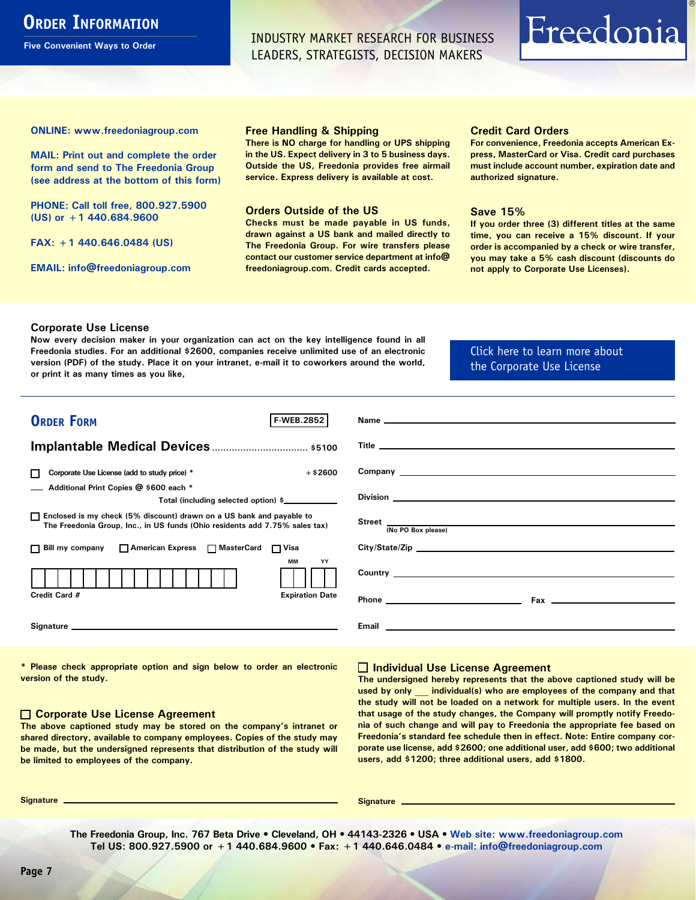## <span id="page-6-0"></span>**ORDER INFORMATION**

**Five Convenient Ways to Order**

INDUSTRY MARKET RESEARCH FOR BUSINESS LEADERS, STRATEGISTS, DECISION MAKERS

# Freedonia

**ONLINE: [www.freedoniagroup.com](http://www.freedoniagroup.com/DocumentDetails.aspx?Referrerid=FM-Bro&StudyID=2852)**

**MAIL: Print out and complete the order form and send to The Freedonia Group (see address at the bottom of this form)**

**PHONE: Call toll free, 800.927.5900 (US) or +1 440.684.9600**

**FAX: +1 440.646.0484 (US)**

**EMAIL: [info@freedoniagroup.com](mailto:info@freedoniagroup.com)**

#### **Free Handling & Shipping**

**There is NO charge for handling or UPS shipping in the US. Expect delivery in 3 to 5 business days. Outside the US, Freedonia provides free airmail service. Express delivery is available at cost.**

#### **Orders Outside of the US**

**Checks must be made payable in US funds, drawn against a US bank and mailed directly to The Freedonia Group. For wire transfers please contact our customer service department at info@ freedoniagroup.com. Credit cards accepted.**

#### **Credit Card Orders**

**For convenience, Freedonia accepts American Express, MasterCard or Visa. Credit card purchases must include account number, expiration date and authorized signature.**

#### **Save 15%**

**If you order three (3) different titles at the same time, you can receive a 15% discount. If your order is accompanied by a check or wire transfer, you may take a 5% cash discount (discounts do not apply to Corporate Use Licenses).**

#### **Corporate Use License**

**Now every decision maker in your organization can act on the key intelligence found in all Freedonia studies. For an additional \$2600, companies receive unlimited use of an electronic version (PDF) of the study. Place it on your intranet, e-mail it to coworkers around the world, or print it as many times as you like,** 

#### [Click here to learn more about](http://www.freedoniagroup.com/pdf/FreedoniaCULBro.pdf)  [the Corporate Use License](http://www.freedoniagroup.com/pdf/FreedoniaCULBro.pdf)

| <b>ORDER FORM</b><br><b>F-WEB.2852</b>                                                                                                                                                                                         |                                                                                                                                                                                                                                      |
|--------------------------------------------------------------------------------------------------------------------------------------------------------------------------------------------------------------------------------|--------------------------------------------------------------------------------------------------------------------------------------------------------------------------------------------------------------------------------------|
|                                                                                                                                                                                                                                |                                                                                                                                                                                                                                      |
|                                                                                                                                                                                                                                |                                                                                                                                                                                                                                      |
|                                                                                                                                                                                                                                |                                                                                                                                                                                                                                      |
| Corporate Use License (add to study price) *<br>$+$ \$2600<br>П                                                                                                                                                                | Company <u>experience</u> and the company of the company of the company of the company of the company of the company of the company of the company of the company of the company of the company of the company of the company of th  |
| Additional Print Copies @ \$600 each *                                                                                                                                                                                         |                                                                                                                                                                                                                                      |
| Total (including selected option) \$                                                                                                                                                                                           |                                                                                                                                                                                                                                      |
| □ Enclosed is my check (5% discount) drawn on a US bank and payable to<br>The Freedonia Group, Inc., in US funds (Ohio residents add 7.75% sales tax)                                                                          | Street<br>(No PO Box please)<br>No PO Box please)                                                                                                                                                                                    |
|                                                                                                                                                                                                                                |                                                                                                                                                                                                                                      |
| □ Bill my company □ American Express □ MasterCard □ Visa                                                                                                                                                                       |                                                                                                                                                                                                                                      |
| <b>MM</b><br>YY                                                                                                                                                                                                                |                                                                                                                                                                                                                                      |
|                                                                                                                                                                                                                                |                                                                                                                                                                                                                                      |
| Credit Card #<br><b>Expiration Date</b>                                                                                                                                                                                        |                                                                                                                                                                                                                                      |
|                                                                                                                                                                                                                                |                                                                                                                                                                                                                                      |
| Signature experience and the state of the state of the state of the state of the state of the state of the state of the state of the state of the state of the state of the state of the state of the state of the state of th | Email <b>Executive Contract Contract Contract Contract Contract Contract Contract Contract Contract Contract Contract Contract Contract Contract Contract Contract Contract Contract Contract Contract Contract Contract Contrac</b> |
|                                                                                                                                                                                                                                |                                                                                                                                                                                                                                      |

**\* Please check appropriate option and sign below to order an electronic version of the study.**

#### **Corporate Use License Agreement**

**The above captioned study may be stored on the company's intranet or shared directory, available to company employees. Copies of the study may be made, but the undersigned represents that distribution of the study will be limited to employees of the company.**

#### **Individual Use License Agreement**

**The undersigned hereby represents that the above captioned study will be used by only \_\_\_ individual(s) who are employees of the company and that the study will not be loaded on a network for multiple users. In the event that usage of the study changes, the Company will promptly notify Freedonia of such change and will pay to Freedonia the appropriate fee based on Freedonia's standard fee schedule then in effect. Note: Entire company corporate use license, add \$2600; one additional user, add \$600; two additional users, add \$1200; three additional users, add \$1800.**

**Signature Signature**

**The Freedonia Group, Inc. 767 Beta Drive • Cleveland, OH • 44143-2326 • USA • [Web site: www.freedoniagroup.com](http://www.freedoniagroup.com/Home.aspx?ReferrerId=FM-Bro) Tel US: 800.927.5900 or +1 440.684.9600 • Fax: +1 440.646.0484 • [e-mail: info@freedoniagroup.com](mailto:info@freedoniagroup.com)**